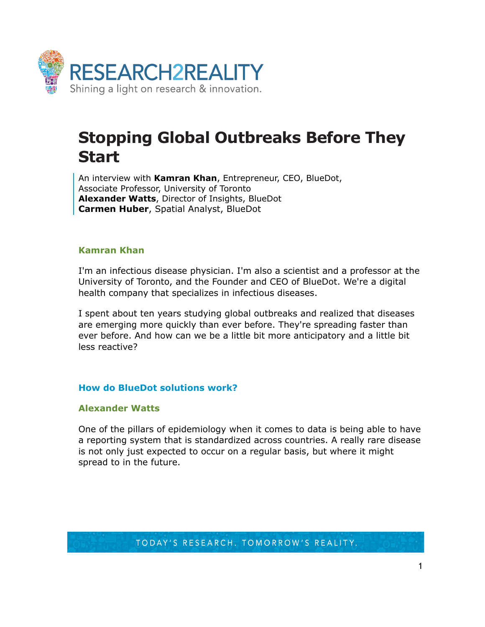

# **Stopping Global Outbreaks Before They Start**

An interview with **Kamran Khan**, Entrepreneur, CEO, BlueDot, Associate Professor, University of Toronto **Alexander Watts**, Director of Insights, BlueDot **Carmen Huber**, Spatial Analyst, BlueDot

## **Kamran Khan**

I'm an infectious disease physician. I'm also a scientist and a professor at the University of Toronto, and the Founder and CEO of BlueDot. We're a digital health company that specializes in infectious diseases.

I spent about ten years studying global outbreaks and realized that diseases are emerging more quickly than ever before. They're spreading faster than ever before. And how can we be a little bit more anticipatory and a little bit less reactive?

# **How do BlueDot solutions work?**

#### **Alexander Watts**

One of the pillars of epidemiology when it comes to data is being able to have a reporting system that is standardized across countries. A really rare disease is not only just expected to occur on a regular basis, but where it might spread to in the future.

TODAY'S RESEARCH. TOMORROW'S REALITY.